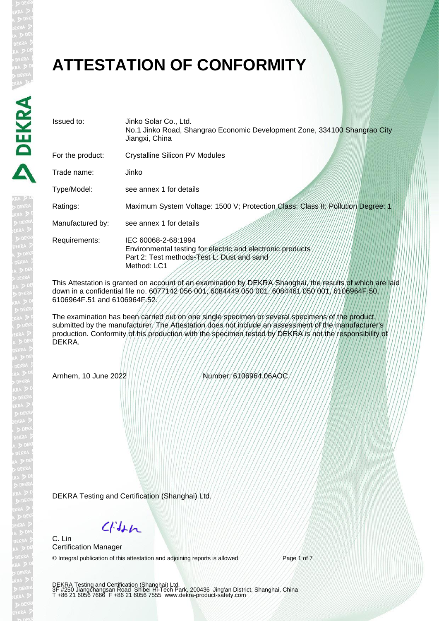## **ATTESTATION OF CONFORMITY**

| Issued to:       | Jinko Solar Co., Ltd.<br>No.1 Jinko Road, Shangrao Economic Development Zone, 334100 Shangrao City<br>Jiangxi, China                           |
|------------------|------------------------------------------------------------------------------------------------------------------------------------------------|
| For the product: | <b>Crystalline Silicon PV Modules</b>                                                                                                          |
| Trade name:      | Jinko                                                                                                                                          |
| Type/Model:      | see annex 1 for details                                                                                                                        |
| Ratings:         | Maximum System Voltage: 1500 V; Protection Class: Class II; Pollution Degree: 1                                                                |
| Manufactured by: | see annex 1 for details                                                                                                                        |
| Requirements:    | IEC 60068-2-68:1994<br>Environmental testing for electric and electronic products<br>Part 2: Test methods-Test L: Dust and sand<br>Method: LC1 |

This Attestation is granted on account of an examination by DEKRA Shanghai, the results of which are laid down in a confidential file no. 6077142 056 001, 6084449 050 001, 6084461 050 001, 6106964F.50, 6106964F.51 and 6106964F.52.

The examination has been carried out on one single specimen or several specimens of the product, submitted by the manufacturer. The Attestation does not include an assessment of the manufacturer's production. Conformity of his production with the specimen tested by DEKRA is not the responsibility of DEKRA.

Arnhem, 10 June 2022 Number: 6106964.06AOC

DEKRA Testing and Certification (Shanghai) Ltd.

 $C/Mn$ 

C. Lin Certification Manager

© Integral publication of this attestation and adjoining reports is allowed Page 1 of 7

DEKRA Testing and Certification (Shanghai) Ltd.<br>3F #250 Jiangchangsan Road Shibei Hi-Tech Park, 200436 Jing'an District, Shanghai, China<br>T +86 21 6056 7666 F +86 21 6056 7555 www.dekra-product-safety.com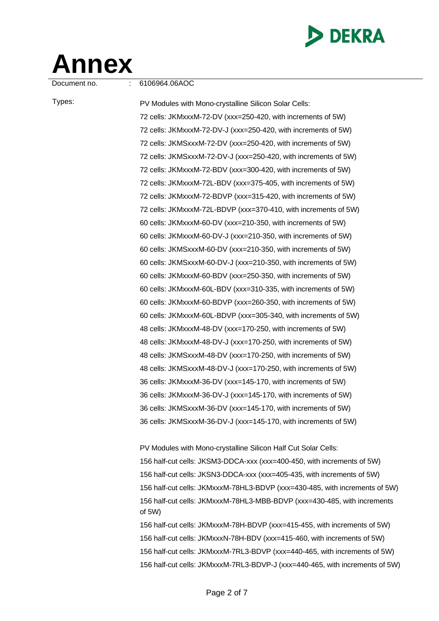

## **Annex**

Document no. : 6106964.06AOC

Types: PV Modules with Mono-crystalline Silicon Solar Cells: 72 cells: JKMxxxM-72-DV (xxx=250-420, with increments of 5W) 72 cells: JKMxxxM-72-DV-J (xxx=250-420, with increments of 5W) 72 cells: JKMSxxxM-72-DV (xxx=250-420, with increments of 5W) 72 cells: JKMSxxxM-72-DV-J (xxx=250-420, with increments of 5W) 72 cells: JKMxxxM-72-BDV (xxx=300-420, with increments of 5W) 72 cells: JKMxxxM-72L-BDV (xxx=375-405, with increments of 5W) 72 cells: JKMxxxM-72-BDVP (xxx=315-420, with increments of 5W) 72 cells: JKMxxxM-72L-BDVP (xxx=370-410, with increments of 5W) 60 cells: JKMxxxM-60-DV (xxx=210-350, with increments of 5W) 60 cells: JKMxxxM-60-DV-J (xxx=210-350, with increments of 5W) 60 cells: JKMSxxxM-60-DV (xxx=210-350, with increments of 5W) 60 cells: JKMSxxxM-60-DV-J (xxx=210-350, with increments of 5W) 60 cells: JKMxxxM-60-BDV (xxx=250-350, with increments of 5W) 60 cells: JKMxxxM-60L-BDV (xxx=310-335, with increments of 5W) 60 cells: JKMxxxM-60-BDVP (xxx=260-350, with increments of 5W) 60 cells: JKMxxxM-60L-BDVP (xxx=305-340, with increments of 5W) 48 cells: JKMxxxM-48-DV (xxx=170-250, with increments of 5W) 48 cells: JKMxxxM-48-DV-J (xxx=170-250, with increments of 5W) 48 cells: JKMSxxxM-48-DV (xxx=170-250, with increments of 5W) 48 cells: JKMSxxxM-48-DV-J (xxx=170-250, with increments of 5W) 36 cells: JKMxxxM-36-DV (xxx=145-170, with increments of 5W) 36 cells: JKMxxxM-36-DV-J (xxx=145-170, with increments of 5W) 36 cells: JKMSxxxM-36-DV (xxx=145-170, with increments of 5W) 36 cells: JKMSxxxM-36-DV-J (xxx=145-170, with increments of 5W)

> PV Modules with Mono-crystalline Silicon Half Cut Solar Cells: 156 half-cut cells: JKSM3-DDCA-xxx (xxx=400-450, with increments of 5W) 156 half-cut cells: JKSN3-DDCA-xxx (xxx=405-435, with increments of 5W) 156 half-cut cells: JKMxxxM-78HL3-BDVP (xxx=430-485, with increments of 5W) 156 half-cut cells: JKMxxxM-78HL3-MBB-BDVP (xxx=430-485, with increments of 5W)

> 156 half-cut cells: JKMxxxM-78H-BDVP (xxx=415-455, with increments of 5W) 156 half-cut cells: JKMxxxN-78H-BDV (xxx=415-460, with increments of 5W) 156 half-cut cells: JKMxxxM-7RL3-BDVP (xxx=440-465, with increments of 5W) 156 half-cut cells: JKMxxxM-7RL3-BDVP-J (xxx=440-465, with increments of 5W)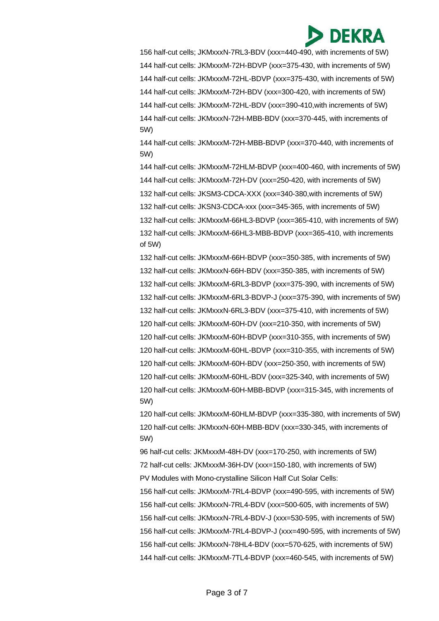## **DEKRA**

156 half-cut cells; JKMxxxN-7RL3-BDV (xxx=440-490, with increments of 5W) 144 half-cut cells: JKMxxxM-72H-BDVP (xxx=375-430, with increments of 5W) 144 half-cut cells: JKMxxxM-72HL-BDVP (xxx=375-430, with increments of 5W) 144 half-cut cells: JKMxxxM-72H-BDV (xxx=300-420, with increments of 5W) 144 half-cut cells: JKMxxxM-72HL-BDV (xxx=390-410,with increments of 5W) 144 half-cut cells: JKMxxxN-72H-MBB-BDV (xxx=370-445, with increments of 5W)

144 half-cut cells: JKMxxxM-72H-MBB-BDVP (xxx=370-440, with increments of 5W)

144 half-cut cells: JKMxxxM-72HLM-BDVP (xxx=400-460, with increments of 5W) 144 half-cut cells: JKMxxxM-72H-DV (xxx=250-420, with increments of 5W) 132 half-cut cells: JKSM3-CDCA-XXX (xxx=340-380,with increments of 5W) 132 half-cut cells: JKSN3-CDCA-xxx (xxx=345-365, with increments of 5W) 132 half-cut cells: JKMxxxM-66HL3-BDVP (xxx=365-410, with increments of 5W) 132 half-cut cells: JKMxxxM-66HL3-MBB-BDVP (xxx=365-410, with increments of 5W)

132 half-cut cells: JKMxxxM-66H-BDVP (xxx=350-385, with increments of 5W) 132 half-cut cells: JKMxxxN-66H-BDV (xxx=350-385, with increments of 5W) 132 half-cut cells: JKMxxxM-6RL3-BDVP (xxx=375-390, with increments of 5W) 132 half-cut cells: JKMxxxM-6RL3-BDVP-J (xxx=375-390, with increments of 5W) 132 half-cut cells: JKMxxxN-6RL3-BDV (xxx=375-410, with increments of 5W) 120 half-cut cells: JKMxxxM-60H-DV (xxx=210-350, with increments of 5W) 120 half-cut cells: JKMxxxM-60H-BDVP (xxx=310-355, with increments of 5W) 120 half-cut cells: JKMxxxM-60HL-BDVP (xxx=310-355, with increments of 5W) 120 half-cut cells: JKMxxxM-60H-BDV (xxx=250-350, with increments of 5W) 120 half-cut cells: JKMxxxM-60HL-BDV (xxx=325-340, with increments of 5W) 120 half-cut cells: JKMxxxM-60H-MBB-BDVP (xxx=315-345, with increments of 5W)

120 half-cut cells: JKMxxxM-60HLM-BDVP (xxx=335-380, with increments of 5W) 120 half-cut cells: JKMxxxN-60H-MBB-BDV (xxx=330-345, with increments of 5W)

96 half-cut cells: JKMxxxM-48H-DV (xxx=170-250, with increments of 5W) 72 half-cut cells: JKMxxxM-36H-DV (xxx=150-180, with increments of 5W) PV Modules with Mono-crystalline Silicon Half Cut Solar Cells:

156 half-cut cells: JKMxxxM-7RL4-BDVP (xxx=490-595, with increments of 5W) 156 half-cut cells: JKMxxxN-7RL4-BDV (xxx=500-605, with increments of 5W) 156 half-cut cells: JKMxxxN-7RL4-BDV-J (xxx=530-595, with increments of 5W) 156 half-cut cells: JKMxxxM-7RL4-BDVP-J (xxx=490-595, with increments of 5W) 156 half-cut cells: JKMxxxN-78HL4-BDV (xxx=570-625, with increments of 5W) 144 half-cut cells: JKMxxxM-7TL4-BDVP (xxx=460-545, with increments of 5W)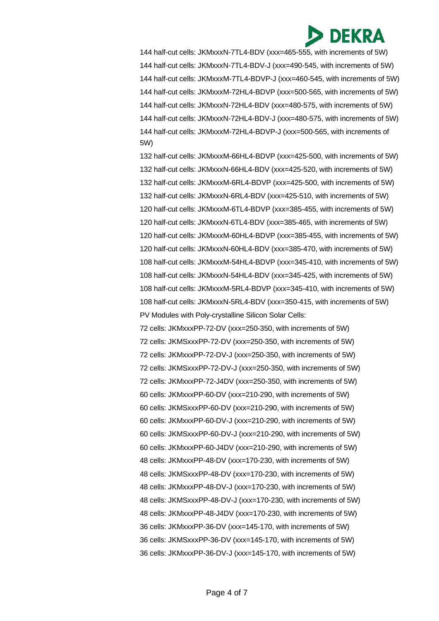

144 half-cut cells: JKMxxxN-7TL4-BDV (xxx=465-555, with increments of 5W) 144 half-cut cells: JKMxxxN-7TL4-BDV-J (xxx=490-545, with increments of 5W) 144 half-cut cells: JKMxxxM-7TL4-BDVP-J (xxx=460-545, with increments of 5W) 144 half-cut cells: JKMxxxM-72HL4-BDVP (xxx=500-565, with increments of 5W) 144 half-cut cells: JKMxxxN-72HL4-BDV (xxx=480-575, with increments of 5W) 144 half-cut cells: JKMxxxN-72HL4-BDV-J (xxx=480-575, with increments of 5W) 144 half-cut cells: JKMxxxM-72HL4-BDVP-J (xxx=500-565, with increments of 5W)

132 half-cut cells: JKMxxxM-66HL4-BDVP (xxx=425-500, with increments of 5W) 132 half-cut cells: JKMxxxN-66HL4-BDV (xxx=425-520, with increments of 5W) 132 half-cut cells: JKMxxxM-6RL4-BDVP (xxx=425-500, with increments of 5W) 132 half-cut cells: JKMxxxN-6RL4-BDV (xxx=425-510, with increments of 5W) 120 half-cut cells: JKMxxxM-6TL4-BDVP (xxx=385-455, with increments of 5W) 120 half-cut cells: JKMxxxN-6TL4-BDV (xxx=385-465, with increments of 5W) 120 half-cut cells: JKMxxxM-60HL4-BDVP (xxx=385-455, with increments of 5W) 120 half-cut cells: JKMxxxN-60HL4-BDV (xxx=385-470, with increments of 5W) 108 half-cut cells: JKMxxxM-54HL4-BDVP (xxx=345-410, with increments of 5W) 108 half-cut cells: JKMxxxN-54HL4-BDV (xxx=345-425, with increments of 5W) 108 half-cut cells: JKMxxxM-5RL4-BDVP (xxx=345-410, with increments of 5W) 108 half-cut cells: JKMxxxN-5RL4-BDV (xxx=350-415, with increments of 5W) PV Modules with Poly-crystalline Silicon Solar Cells:

72 cells: JKMxxxPP-72-DV (xxx=250-350, with increments of 5W) 72 cells: JKMSxxxPP-72-DV (xxx=250-350, with increments of 5W) 72 cells: JKMxxxPP-72-DV-J (xxx=250-350, with increments of 5W) 72 cells: JKMSxxxPP-72-DV-J (xxx=250-350, with increments of 5W) 72 cells: JKMxxxPP-72-J4DV (xxx=250-350, with increments of 5W) 60 cells: JKMxxxPP-60-DV (xxx=210-290, with increments of 5W) 60 cells: JKMSxxxPP-60-DV (xxx=210-290, with increments of 5W) 60 cells: JKMxxxPP-60-DV-J (xxx=210-290, with increments of 5W) 60 cells: JKMSxxxPP-60-DV-J (xxx=210-290, with increments of 5W) 60 cells: JKMxxxPP-60-J4DV (xxx=210-290, with increments of 5W) 48 cells: JKMxxxPP-48-DV (xxx=170-230, with increments of 5W) 48 cells: JKMSxxxPP-48-DV (xxx=170-230, with increments of 5W) 48 cells: JKMxxxPP-48-DV-J (xxx=170-230, with increments of 5W) 48 cells: JKMSxxxPP-48-DV-J (xxx=170-230, with increments of 5W) 48 cells: JKMxxxPP-48-J4DV (xxx=170-230, with increments of 5W) 36 cells: JKMxxxPP-36-DV (xxx=145-170, with increments of 5W) 36 cells: JKMSxxxPP-36-DV (xxx=145-170, with increments of 5W) 36 cells: JKMxxxPP-36-DV-J (xxx=145-170, with increments of 5W)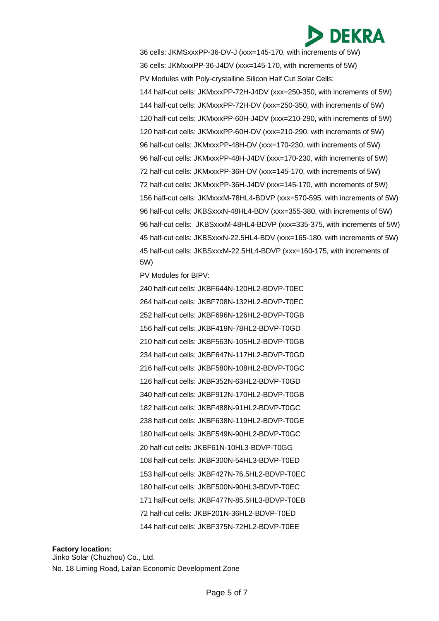

36 cells: JKMSxxxPP-36-DV-J (xxx=145-170, with increments of 5W) 36 cells: JKMxxxPP-36-J4DV (xxx=145-170, with increments of 5W) PV Modules with Poly-crystalline Silicon Half Cut Solar Cells: 144 half-cut cells: JKMxxxPP-72H-J4DV (xxx=250-350, with increments of 5W) 144 half-cut cells: JKMxxxPP-72H-DV (xxx=250-350, with increments of 5W) 120 half-cut cells: JKMxxxPP-60H-J4DV (xxx=210-290, with increments of 5W) 120 half-cut cells: JKMxxxPP-60H-DV (xxx=210-290, with increments of 5W) 96 half-cut cells: JKMxxxPP-48H-DV (xxx=170-230, with increments of 5W) 96 half-cut cells: JKMxxxPP-48H-J4DV (xxx=170-230, with increments of 5W) 72 half-cut cells: JKMxxxPP-36H-DV (xxx=145-170, with increments of 5W) 72 half-cut cells: JKMxxxPP-36H-J4DV (xxx=145-170, with increments of 5W) 156 half-cut cells: JKMxxxM-78HL4-BDVP (xxx=570-595, with increments of 5W) 96 half-cut cells: JKBSxxxN-48HL4-BDV (xxx=355-380, with increments of 5W) 96 half-cut cells: JKBSxxxM-48HL4-BDVP (xxx=335-375, with increments of 5W) 45 half-cut cells: JKBSxxxN-22.5HL4-BDV (xxx=165-180, with increments of 5W) 45 half-cut cells: JKBSxxxM-22.5HL4-BDVP (xxx=160-175, with increments of 5W)

PV Modules for BIPV:

240 half-cut cells: JKBF644N-120HL2-BDVP-T0EC 264 half-cut cells: JKBF708N-132HL2-BDVP-T0EC 252 half-cut cells: JKBF696N-126HL2-BDVP-T0GB 156 half-cut cells: JKBF419N-78HL2-BDVP-T0GD 210 half-cut cells: JKBF563N-105HL2-BDVP-T0GB 234 half-cut cells: JKBF647N-117HL2-BDVP-T0GD 216 half-cut cells: JKBF580N-108HL2-BDVP-T0GC 126 half-cut cells: JKBF352N-63HL2-BDVP-T0GD 340 half-cut cells: JKBF912N-170HL2-BDVP-T0GB 182 half-cut cells: JKBF488N-91HL2-BDVP-T0GC 238 half-cut cells: JKBF638N-119HL2-BDVP-T0GE 180 half-cut cells: JKBF549N-90HL2-BDVP-T0GC 20 half-cut cells: JKBF61N-10HL3-BDVP-T0GG 108 half-cut cells: JKBF300N-54HL3-BDVP-T0ED 153 half-cut cells: JKBF427N-76.5HL2-BDVP-T0EC 180 half-cut cells: JKBF500N-90HL3-BDVP-T0EC 171 half-cut cells: JKBF477N-85.5HL3-BDVP-T0EB 72 half-cut cells: JKBF201N-36HL2-BDVP-T0ED 144 half-cut cells: JKBF375N-72HL2-BDVP-T0EE

## **Factory location:** Jinko Solar (Chuzhou) Co., Ltd. No. 18 Liming Road, Lai'an Economic Development Zone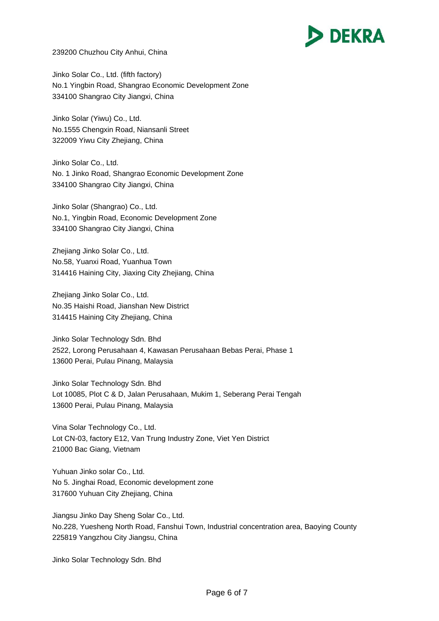

239200 Chuzhou City Anhui, China

Jinko Solar Co., Ltd. (fifth factory) No.1 Yingbin Road, Shangrao Economic Development Zone 334100 Shangrao City Jiangxi, China

Jinko Solar (Yiwu) Co., Ltd. No.1555 Chengxin Road, Niansanli Street 322009 Yiwu City Zhejiang, China

Jinko Solar Co., Ltd. No. 1 Jinko Road, Shangrao Economic Development Zone 334100 Shangrao City Jiangxi, China

Jinko Solar (Shangrao) Co., Ltd. No.1, Yingbin Road, Economic Development Zone 334100 Shangrao City Jiangxi, China

Zhejiang Jinko Solar Co., Ltd. No.58, Yuanxi Road, Yuanhua Town 314416 Haining City, Jiaxing City Zhejiang, China

Zhejiang Jinko Solar Co., Ltd. No.35 Haishi Road, Jianshan New District 314415 Haining City Zhejiang, China

Jinko Solar Technology Sdn. Bhd 2522, Lorong Perusahaan 4, Kawasan Perusahaan Bebas Perai, Phase 1 13600 Perai, Pulau Pinang, Malaysia

Jinko Solar Technology Sdn. Bhd Lot 10085, Plot C & D, Jalan Perusahaan, Mukim 1, Seberang Perai Tengah 13600 Perai, Pulau Pinang, Malaysia

Vina Solar Technology Co., Ltd. Lot CN-03, factory E12, Van Trung Industry Zone, Viet Yen District 21000 Bac Giang, Vietnam

Yuhuan Jinko solar Co., Ltd. No 5. Jinghai Road, Economic development zone 317600 Yuhuan City Zhejiang, China

Jiangsu Jinko Day Sheng Solar Co., Ltd. No.228, Yuesheng North Road, Fanshui Town, Industrial concentration area, Baoying County 225819 Yangzhou City Jiangsu, China

Jinko Solar Technology Sdn. Bhd